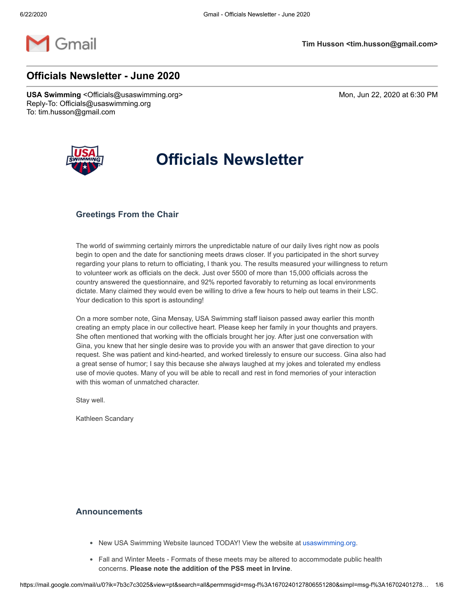

# **Officials Newsletter - June 2020**

**USA Swimming** <Officials@usaswimming.org> Mon, Jun 22, 2020 at 6:30 PM Reply-To: Officials@usaswimming.org To: tim.husson@gmail.com



# **Officials Newsletter**

#### **Greetings From the Chair**

The world of swimming certainly mirrors the unpredictable nature of our daily lives right now as pools begin to open and the date for sanctioning meets draws closer. If you participated in the short survey regarding your plans to return to officiating, I thank you. The results measured your willingness to return to volunteer work as officials on the deck. Just over 5500 of more than 15,000 officials across the country answered the questionnaire, and 92% reported favorably to returning as local environments dictate. Many claimed they would even be willing to drive a few hours to help out teams in their LSC. Your dedication to this sport is astounding!

On a more somber note, Gina Mensay, USA Swimming staff liaison passed away earlier this month creating an empty place in our collective heart. Please keep her family in your thoughts and prayers. She often mentioned that working with the officials brought her joy. After just one conversation with Gina, you knew that her single desire was to provide you with an answer that gave direction to your request. She was patient and kind-hearted, and worked tirelessly to ensure our success. Gina also had a great sense of humor; I say this because she always laughed at my jokes and tolerated my endless use of movie quotes. Many of you will be able to recall and rest in fond memories of your interaction with this woman of unmatched character.

Stay well.

Kathleen Scandary

#### **Announcements**

- New USA Swimming Website launced TODAY! View the website at [usaswimming.org.](http://pages.usaswimming.org/E0Z0K0OqCso0w0BZ0S02r00)
- Fall and Winter Meets Formats of these meets may be altered to accommodate public health concerns. **Please note the addition of the PSS meet in Irvine**.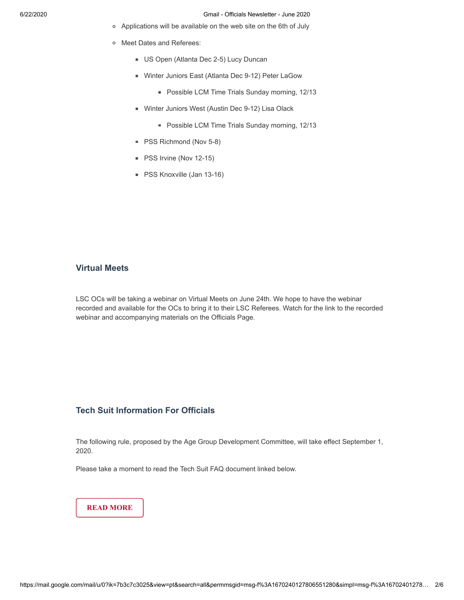- Applications will be available on the web site on the 6th of July
- o Meet Dates and Referees:
	- US Open (Atlanta Dec 2-5) Lucy Duncan
	- Winter Juniors East (Atlanta Dec 9-12) Peter LaGow
		- **Possible LCM Time Trials Sunday morning, 12/13**
	- Winter Juniors West (Austin Dec 9-12) Lisa Olack
		- **Possible LCM Time Trials Sunday morning, 12/13**
	- **PSS Richmond (Nov 5-8)**
	- PSS Irvine (Nov 12-15)
	- **PSS Knoxville (Jan 13-16)**

#### **Virtual Meets**

LSC OCs will be taking a webinar on Virtual Meets on June 24th. We hope to have the webinar recorded and available for the OCs to bring it to their LSC Referees. Watch for the link to the recorded webinar and accompanying materials on the Officials Page.

### **Tech Suit Information For Officials**

The following rule, proposed by the Age Group Development Committee, will take effect September 1, 2020.

Please take a moment to read the Tech Suit FAQ document linked below.

**[READ MORE](http://pages.usaswimming.org/G0C0ZQ00oM2QK0Zr0000OwB)**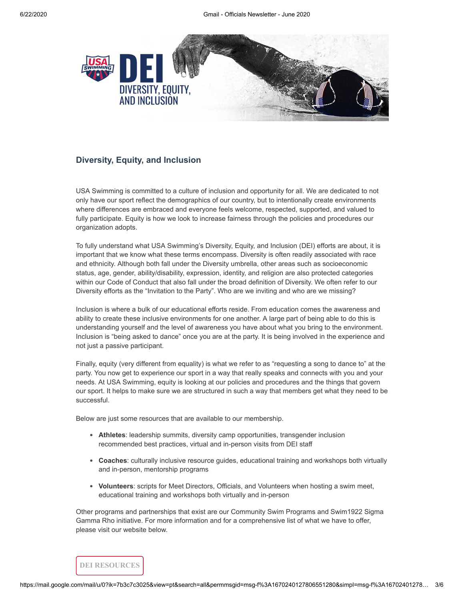

#### **Diversity, Equity, and Inclusion**

USA Swimming is committed to a culture of inclusion and opportunity for all. We are dedicated to not only have our sport reflect the demographics of our country, but to intentionally create environments where differences are embraced and everyone feels welcome, respected, supported, and valued to fully participate. Equity is how we look to increase fairness through the policies and procedures our organization adopts.

To fully understand what USA Swimming's Diversity, Equity, and Inclusion (DEI) efforts are about, it is important that we know what these terms encompass. Diversity is often readily associated with race and ethnicity. Although both fall under the Diversity umbrella, other areas such as socioeconomic status, age, gender, ability/disability, expression, identity, and religion are also protected categories within our Code of Conduct that also fall under the broad definition of Diversity. We often refer to our Diversity efforts as the "Invitation to the Party". Who are we inviting and who are we missing?

Inclusion is where a bulk of our educational efforts reside. From education comes the awareness and ability to create these inclusive environments for one another. A large part of being able to do this is understanding yourself and the level of awareness you have about what you bring to the environment. Inclusion is "being asked to dance" once you are at the party. It is being involved in the experience and not just a passive participant.

Finally, equity (very different from equality) is what we refer to as "requesting a song to dance to" at the party. You now get to experience our sport in a way that really speaks and connects with you and your needs. At USA Swimming, equity is looking at our policies and procedures and the things that govern our sport. It helps to make sure we are structured in such a way that members get what they need to be successful.

Below are just some resources that are available to our membership.

- **Athletes**: leadership summits, diversity camp opportunities, transgender inclusion recommended best practices, virtual and in-person visits from DEI staff
- **Coaches**: culturally inclusive resource guides, educational training and workshops both virtually and in-person, mentorship programs
- **Volunteers**: scripts for Meet Directors, Officials, and Volunteers when hosting a swim meet, educational training and workshops both virtually and in-person

Other programs and partnerships that exist are our Community Swim Programs and Swim1922 Sigma Gamma Rho initiative. For more information and for a comprehensive list of what we have to offer, please visit our website below.

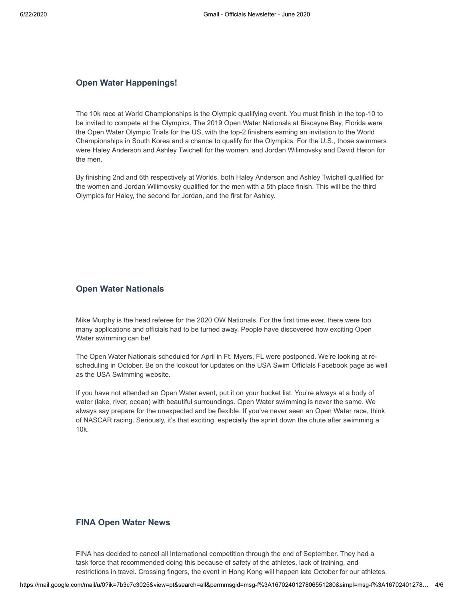#### **Open Water Happenings!**

The 10k race at World Championships is the Olympic qualifying event. You must finish in the top-10 to be invited to compete at the Olympics. The 2019 Open Water Nationals at Biscayne Bay, Florida were the Open Water Olympic Trials for the US, with the top-2 finishers earning an invitation to the World Championships in South Korea and a chance to qualify for the Olympics. For the U.S., those swimmers were Haley Anderson and Ashley Twichell for the women, and Jordan Wilimovsky and David Heron for the men.

By finishing 2nd and 6th respectively at Worlds, both Haley Anderson and Ashley Twichell qualified for the women and Jordan Wilimovsky qualified for the men with a 5th place finish. This will be the third Olympics for Haley, the second for Jordan, and the first for Ashley.

# **Open Water Nationals**

Mike Murphy is the head referee for the 2020 OW Nationals. For the first time ever, there were too many applications and officials had to be turned away. People have discovered how exciting Open Water swimming can be!

The Open Water Nationals scheduled for April in Ft. Myers, FL were postponed. We're looking at rescheduling in October. Be on the lookout for updates on the USA Swim Officials Facebook page as well as the USA Swimming website.

If you have not attended an Open Water event, put it on your bucket list. You're always at a body of water (lake, river, ocean) with beautiful surroundings. Open Water swimming is never the same. We always say prepare for the unexpected and be flexible. If you've never seen an Open Water race, think of NASCAR racing. Seriously, it's that exciting, especially the sprint down the chute after swimming a 10k.

#### **FINA Open Water News**

FINA has decided to cancel all International competition through the end of September. They had a task force that recommended doing this because of safety of the athletes, lack of training, and restrictions in travel. Crossing fingers, the event in Hong Kong will happen late October for our athletes.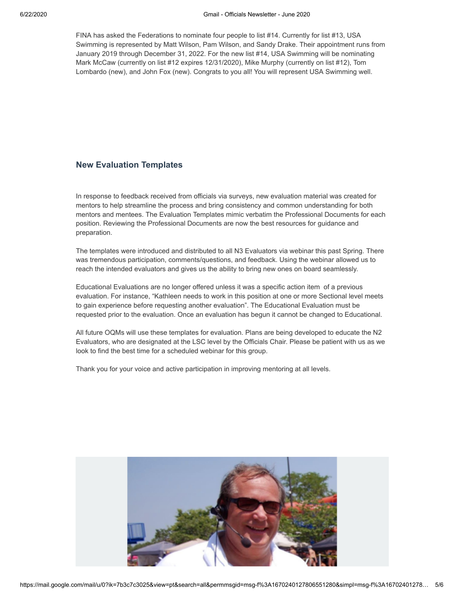FINA has asked the Federations to nominate four people to list #14. Currently for list #13, USA Swimming is represented by Matt Wilson, Pam Wilson, and Sandy Drake. Their appointment runs from January 2019 through December 31, 2022. For the new list #14, USA Swimming will be nominating Mark McCaw (currently on list #12 expires 12/31/2020), Mike Murphy (currently on list #12), Tom Lombardo (new), and John Fox (new). Congrats to you all! You will represent USA Swimming well.

#### **New Evaluation Templates**

In response to feedback received from officials via surveys, new evaluation material was created for mentors to help streamline the process and bring consistency and common understanding for both mentors and mentees. The Evaluation Templates mimic verbatim the Professional Documents for each position. Reviewing the Professional Documents are now the best resources for guidance and preparation.

The templates were introduced and distributed to all N3 Evaluators via webinar this past Spring. There was tremendous participation, comments/questions, and feedback. Using the webinar allowed us to reach the intended evaluators and gives us the ability to bring new ones on board seamlessly.

Educational Evaluations are no longer offered unless it was a specific action item of a previous evaluation. For instance, "Kathleen needs to work in this position at one or more Sectional level meets to gain experience before requesting another evaluation". The Educational Evaluation must be requested prior to the evaluation. Once an evaluation has begun it cannot be changed to Educational.

All future OQMs will use these templates for evaluation. Plans are being developed to educate the N2 Evaluators, who are designated at the LSC level by the Officials Chair. Please be patient with us as we look to find the best time for a scheduled webinar for this group.

Thank you for your voice and active participation in improving mentoring at all levels.